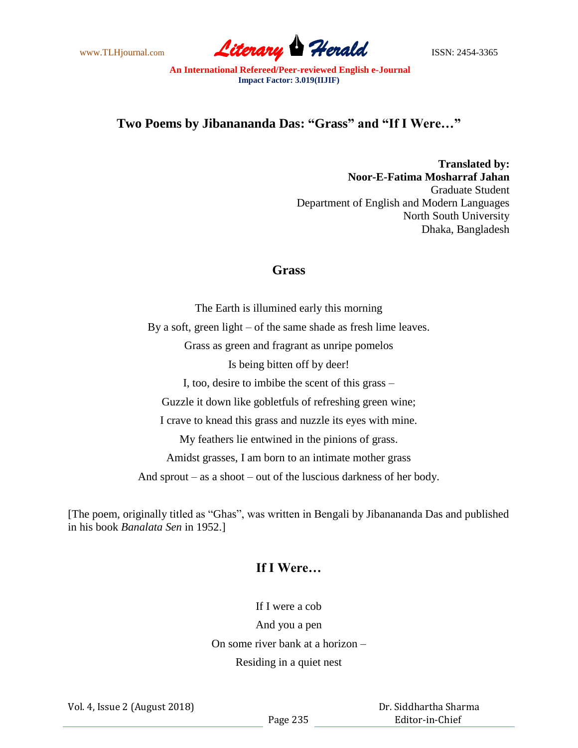www.TLHjournal.com **Literary Herald ISSN: 2454-3365** 

**An International Refereed/Peer-reviewed English e-Journal Impact Factor: 3.019(IIJIF)**

## **Two Poems by Jibanananda Das: "Grass" and "If I Were…"**

**Translated by: Noor-E-Fatima Mosharraf Jahan** Graduate Student Department of English and Modern Languages North South University Dhaka, Bangladesh

## **Grass**

The Earth is illumined early this morning By a soft, green light – of the same shade as fresh lime leaves. Grass as green and fragrant as unripe pomelos Is being bitten off by deer! I, too, desire to imbibe the scent of this grass – Guzzle it down like gobletfuls of refreshing green wine; I crave to knead this grass and nuzzle its eyes with mine. My feathers lie entwined in the pinions of grass. Amidst grasses, I am born to an intimate mother grass And sprout – as a shoot – out of the luscious darkness of her body.

[The poem, originally titled as "Ghas", was written in Bengali by Jibanananda Das and published in his book *Banalata Sen* in 1952.]

## **If I Were…**

If I were a cob And you a pen On some river bank at a horizon – Residing in a quiet nest

Vol. 4, Issue 2 (August 2018)

 Dr. Siddhartha Sharma Editor-in-Chief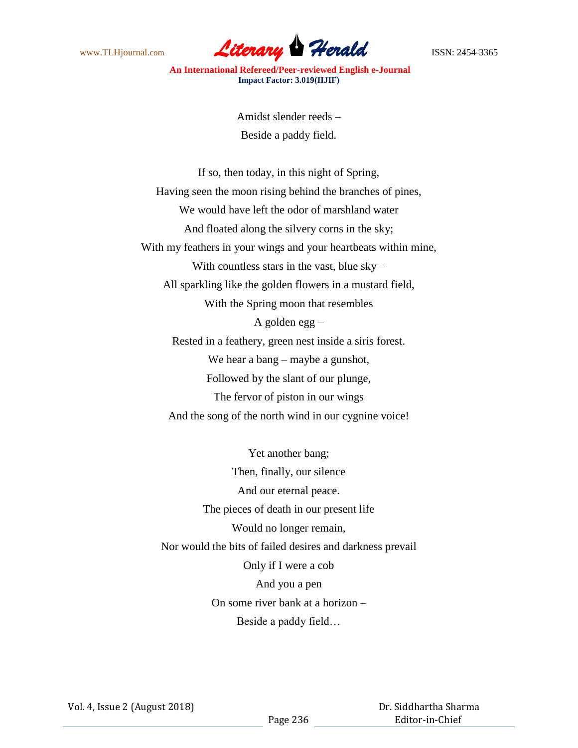

**An International Refereed/Peer-reviewed English e-Journal Impact Factor: 3.019(IIJIF)**

> Amidst slender reeds – Beside a paddy field.

If so, then today, in this night of Spring, Having seen the moon rising behind the branches of pines, We would have left the odor of marshland water And floated along the silvery corns in the sky; With my feathers in your wings and your heartbeats within mine, With countless stars in the vast, blue  $sky -$ All sparkling like the golden flowers in a mustard field, With the Spring moon that resembles A golden egg – Rested in a feathery, green nest inside a siris forest. We hear a bang – maybe a gunshot, Followed by the slant of our plunge, The fervor of piston in our wings And the song of the north wind in our cygnine voice!

Yet another bang; Then, finally, our silence And our eternal peace. The pieces of death in our present life Would no longer remain, Nor would the bits of failed desires and darkness prevail Only if I were a cob And you a pen On some river bank at a horizon – Beside a paddy field…